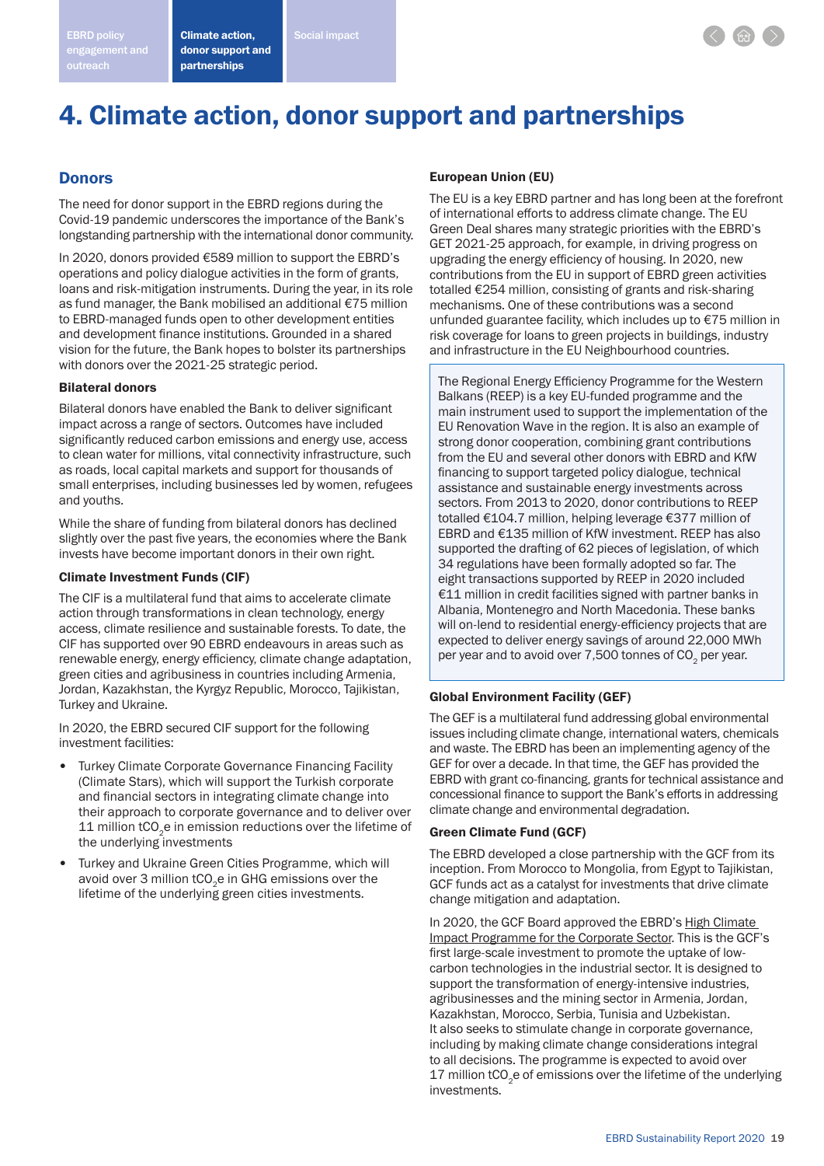# 4. Climate action, donor support and partnerships

Social impact

# **Donors**

The need for donor support in the EBRD regions during the Covid-19 pandemic underscores the importance of the Bank's longstanding partnership with the international donor community.

In 2020, donors provided €589 million to support the EBRD's operations and policy dialogue activities in the form of grants, loans and risk-mitigation instruments. During the year, in its role as fund manager, the Bank mobilised an additional €75 million to EBRD-managed funds open to other development entities and development finance institutions. Grounded in a shared vision for the future, the Bank hopes to bolster its partnerships with donors over the 2021-25 strategic period.

### Bilateral donors

Bilateral donors have enabled the Bank to deliver significant impact across a range of sectors. Outcomes have included significantly reduced carbon emissions and energy use, access to clean water for millions, vital connectivity infrastructure, such as roads, local capital markets and support for thousands of small enterprises, including businesses led by women, refugees and youths.

While the share of funding from bilateral donors has declined slightly over the past five years, the economies where the Bank invests have become important donors in their own right.

### Climate Investment Funds (CIF)

The CIF is a multilateral fund that aims to accelerate climate action through transformations in clean technology, energy access, climate resilience and sustainable forests. To date, the CIF has supported over 90 EBRD endeavours in areas such as renewable energy, energy efficiency, climate change adaptation, green cities and agribusiness in countries including Armenia, Jordan, Kazakhstan, the Kyrgyz Republic, Morocco, Tajikistan, Turkey and Ukraine.

In 2020, the EBRD secured CIF support for the following investment facilities:

- Turkey Climate Corporate Governance Financing Facility (Climate Stars), which will support the Turkish corporate and financial sectors in integrating climate change into their approach to corporate governance and to deliver over 11 million tCO<sub>2</sub>e in emission reductions over the lifetime of the underlying investments
- Turkey and Ukraine Green Cities Programme, which will avoid over 3 million tCO<sub>2</sub>e in GHG emissions over the lifetime of the underlying green cities investments.

### European Union (EU)

The EU is a key EBRD partner and has long been at the forefront of international efforts to address climate change. The EU Green Deal shares many strategic priorities with the EBRD's GET 2021-25 approach, for example, in driving progress on upgrading the energy efficiency of housing. In 2020, new contributions from the EU in support of EBRD green activities totalled €254 million, consisting of grants and risk-sharing mechanisms. One of these contributions was a second unfunded guarantee facility, which includes up to €75 million in risk coverage for loans to green projects in buildings, industry and infrastructure in the EU Neighbourhood countries.

The Regional Energy Efficiency Programme for the Western Balkans (REEP) is a key EU-funded programme and the main instrument used to support the implementation of the EU Renovation Wave in the region. It is also an example of strong donor cooperation, combining grant contributions from the EU and several other donors with EBRD and KfW financing to support targeted policy dialogue, technical assistance and sustainable energy investments across sectors. From 2013 to 2020, donor contributions to REEP totalled €104.7 million, helping leverage €377 million of EBRD and €135 million of KfW investment. REEP has also supported the drafting of 62 pieces of legislation, of which 34 regulations have been formally adopted so far. The eight transactions supported by REEP in 2020 included €11 million in credit facilities signed with partner banks in Albania, Montenegro and North Macedonia. These banks will on-lend to residential energy-efficiency projects that are expected to deliver energy savings of around 22,000 MWh per year and to avoid over 7,500 tonnes of CO<sub>2</sub> per year.

### Global Environment Facility (GEF)

The GEF is a multilateral fund addressing global environmental issues including climate change, international waters, chemicals and waste. The EBRD has been an implementing agency of the GEF for over a decade. In that time, the GEF has provided the EBRD with grant co-financing, grants for technical assistance and concessional finance to support the Bank's efforts in addressing climate change and environmental degradation.

### Green Climate Fund (GCF)

The EBRD developed a close partnership with the GCF from its inception. From Morocco to Mongolia, from Egypt to Tajikistan, GCF funds act as a catalyst for investments that drive climate change mitigation and adaptation.

In 2020, the GCF Board approved the EBRD's High Climate Impact Programme for the Corporate Sector. This is the GCF's first large-scale investment to promote the uptake of lowcarbon technologies in the industrial sector. It is designed to support the transformation of energy-intensive industries, agribusinesses and the mining sector in Armenia, Jordan, Kazakhstan, Morocco, Serbia, Tunisia and Uzbekistan. It also seeks to stimulate change in corporate governance, including by making climate change considerations integral to all decisions. The programme is expected to avoid over 17 million tCO<sub>2</sub>e of emissions over the lifetime of the underlying investments.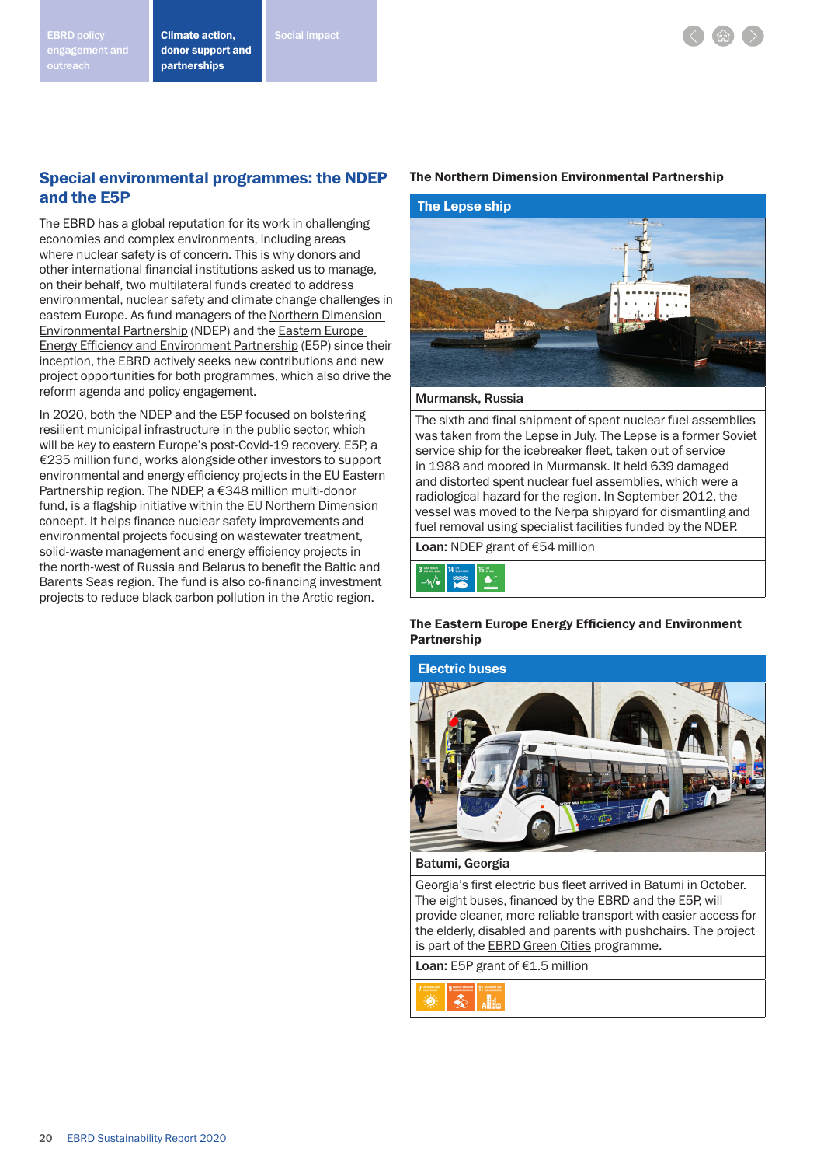EBRD policy engagement and Climate action, donor support and partnerships



# Special environmental programmes: the NDEP and the E5P

The EBRD has a global reputation for its work in challenging economies and complex environments, including areas where nuclear safety is of concern. This is why donors and other international financial institutions asked us to manage, on their behalf, two multilateral funds created to address environmental, nuclear safety and climate change challenges in eastern Europe. As fund managers of the Northern Dimension Environmental Partnership (NDEP) and the Eastern Europe Energy Efficiency and Environment Partnership (E5P) since their inception, the EBRD actively seeks new contributions and new project opportunities for both programmes, which also drive the reform agenda and policy engagement.

In 2020, both the NDEP and the E5P focused on bolstering resilient municipal infrastructure in the public sector, which will be key to eastern Europe's post-Covid-19 recovery. E5P, a €235 million fund, works alongside other investors to support environmental and energy efficiency projects in the EU Eastern Partnership region. The NDEP, a €348 million multi-donor fund, is a flagship initiative within the EU Northern Dimension concept. It helps finance nuclear safety improvements and environmental projects focusing on wastewater treatment, solid-waste management and energy efficiency projects in the north-west of Russia and Belarus to benefit the Baltic and Barents Seas region. The fund is also co-financing investment projects to reduce black carbon pollution in the Arctic region.

## The Northern Dimension Environmental Partnership



### Murmansk, Russia

The sixth and final shipment of spent nuclear fuel assemblies was taken from the Lepse in July. The Lepse is a former Soviet service ship for the icebreaker fleet, taken out of service in 1988 and moored in Murmansk. It held 639 damaged and distorted spent nuclear fuel assemblies, which were a radiological hazard for the region. In September 2012, the vessel was moved to the Nerpa shipyard for dismantling and fuel removal using specialist facilities funded by the NDEP.

Loan: NDEP grant of €54 million



# The Eastern Europe Energy Efficiency and Environment Partnership



#### Batumi, Georgia

Georgia's first electric bus fleet arrived in Batumi in October. The eight buses, financed by the EBRD and the E5P, will provide cleaner, more reliable transport with easier access for the elderly, disabled and parents with pushchairs. The project is part of the **EBRD Green Cities** programme.

Loan: E5P grant of €1.5 million